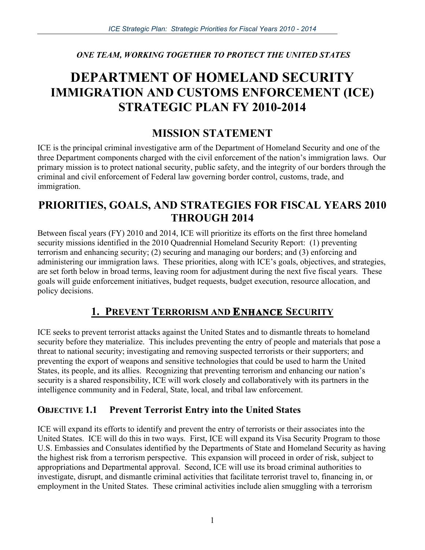*ONE TEAM, WORKING TOGETHER TO PROTECT THE UNITED STATES*

# **DEPARTMENT OF HOMELAND SECURITY IMMIGRATION AND CUSTOMS ENFORCEMENT (ICE) STRATEGIC PLAN FY 2010-2014**

## **MISSION STATEMENT**

ICE is the principal criminal investigative arm of the Department of Homeland Security and one of the three Department components charged with the civil enforcement of the nation's immigration laws. Our primary mission is to protect national security, public safety, and the integrity of our borders through the criminal and civil enforcement of Federal law governing border control, customs, trade, and immigration.

## **PRIORITIES, GOALS, AND STRATEGIES FOR FISCAL YEARS 2010 THROUGH 2014**

Between fiscal years (FY) 2010 and 2014, ICE will prioritize its efforts on the first three homeland security missions identified in the 2010 Quadrennial Homeland Security Report: (1) preventing terrorism and enhancing security; (2) securing and managing our borders; and (3) enforcing and administering our immigration laws. These priorities, along with ICE's goals, objectives, and strategies, are set forth below in broad terms, leaving room for adjustment during the next five fiscal years. These goals will guide enforcement initiatives, budget requests, budget execution, resource allocation, and policy decisions.

## **1. PREVENT TERRORISM AND ENHANCE SECURITY**

ICE seeks to prevent terrorist attacks against the United States and to dismantle threats to homeland security before they materialize. This includes preventing the entry of people and materials that pose a threat to national security; investigating and removing suspected terrorists or their supporters; and preventing the export of weapons and sensitive technologies that could be used to harm the United States, its people, and its allies. Recognizing that preventing terrorism and enhancing our nation's security is a shared responsibility, ICE will work closely and collaboratively with its partners in the intelligence community and in Federal, State, local, and tribal law enforcement.

## **OBJECTIVE 1.1 Prevent Terrorist Entry into the United States**

ICE will expand its efforts to identify and prevent the entry of terrorists or their associates into the United States. ICE will do this in two ways. First, ICE will expand its Visa Security Program to those U.S. Embassies and Consulates identified by the Departments of State and Homeland Security as having the highest risk from a terrorism perspective. This expansion will proceed in order of risk, subject to appropriations and Departmental approval. Second, ICE will use its broad criminal authorities to investigate, disrupt, and dismantle criminal activities that facilitate terrorist travel to, financing in, or employment in the United States. These criminal activities include alien smuggling with a terrorism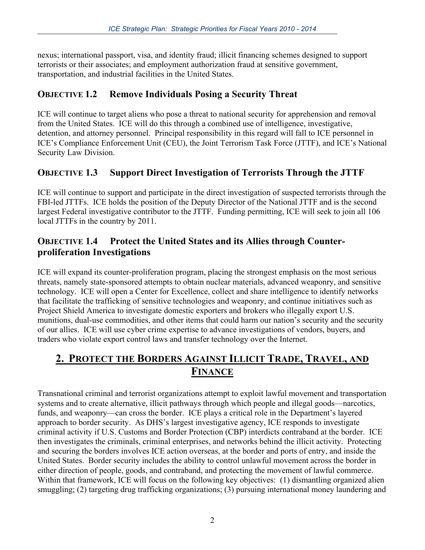nexus; international passport, visa, and identity fraud; illicit financing schemes designed to support terrorists or their associates; and employment authorization fraud at sensitive government, transportation, and industrial facilities in the United States.

## **OBJECTIVE 1.2 Remove Individuals Posing a Security Threat**

ICE will continue to target aliens who pose a threat to national security for apprehension and removal from the United States. ICE will do this through a combined use of intelligence, investigative, detention, and attorney personnel. Principal responsibility in this regard will fall to ICE personnel in ICE's Compliance Enforcement Unit (CEU), the Joint Terrorism Task Force (JTTF), and ICE's National Security Law Division.

## **OBJECTIVE 1.3 Support Direct Investigation of Terrorists Through the JTTF**

ICE will continue to support and participate in the direct investigation of suspected terrorists through the FBI-led JTTFs. ICE holds the position of the Deputy Director of the National JTTF and is the second largest Federal investigative contributor to the JTTF. Funding permitting, ICE will seek to join all 106 local JTTFs in the country by 2011.

#### **OBJECTIVE 1.4 Protect the United States and its Allies through Counterproliferation Investigations**

ICE will expand its counter-proliferation program, placing the strongest emphasis on the most serious threats, namely state-sponsored attempts to obtain nuclear materials, advanced weaponry, and sensitive technology. ICE will open a Center for Excellence, collect and share intelligence to identify networks that facilitate the trafficking of sensitive technologies and weaponry, and continue initiatives such as Project Shield America to investigate domestic exporters and brokers who illegally export U.S. munitions, dual-use commodities, and other items that could harm our nation's security and the security of our allies. ICE will use cyber crime expertise to advance investigations of vendors, buyers, and traders who violate export control laws and transfer technology over the Internet.

## **2. PROTECT THE BORDERS AGAINST ILLICIT TRADE, TRAVEL, AND FINANCE**

Transnational criminal and terrorist organizations attempt to exploit lawful movement and transportation systems and to create alternative, illicit pathways through which people and illegal goods—narcotics, funds, and weaponry—can cross the border. ICE plays a critical role in the Department's layered approach to border security. As DHS's largest investigative agency, ICE responds to investigate criminal activity if U.S. Customs and Border Protection (CBP) interdicts contraband at the border. ICE then investigates the criminals, criminal enterprises, and networks behind the illicit activity. Protecting and securing the borders involves ICE action overseas, at the border and ports of entry, and inside the United States. Border security includes the ability to control unlawful movement across the border in either direction of people, goods, and contraband, and protecting the movement of lawful commerce. Within that framework, ICE will focus on the following key objectives: (1) dismantling organized alien smuggling; (2) targeting drug trafficking organizations; (3) pursuing international money laundering and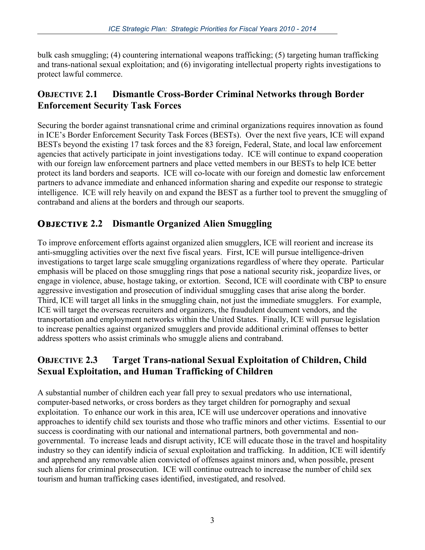bulk cash smuggling; (4) countering international weapons trafficking; (5) targeting human trafficking and trans-national sexual exploitation; and (6) invigorating intellectual property rights investigations to protect lawful commerce.

#### **OBJECTIVE 2.1 Dismantle Cross-Border Criminal Networks through Border Enforcement Security Task Forces**

Securing the border against transnational crime and criminal organizations requires innovation as found in ICE's Border Enforcement Security Task Forces (BESTs). Over the next five years, ICE will expand BESTs beyond the existing 17 task forces and the 83 foreign, Federal, State, and local law enforcement agencies that actively participate in joint investigations today. ICE will continue to expand cooperation with our foreign law enforcement partners and place vetted members in our BESTs to help ICE better protect its land borders and seaports. ICE will co-locate with our foreign and domestic law enforcement partners to advance immediate and enhanced information sharing and expedite our response to strategic intelligence. ICE will rely heavily on and expand the BEST as a further tool to prevent the smuggling of contraband and aliens at the borders and through our seaports.

### **OBJECTIVE 2.2 Dismantle Organized Alien Smuggling**

To improve enforcement efforts against organized alien smugglers, ICE will reorient and increase its anti-smuggling activities over the next five fiscal years. First, ICE will pursue intelligence-driven investigations to target large scale smuggling organizations regardless of where they operate. Particular emphasis will be placed on those smuggling rings that pose a national security risk, jeopardize lives, or engage in violence, abuse, hostage taking, or extortion. Second, ICE will coordinate with CBP to ensure aggressive investigation and prosecution of individual smuggling cases that arise along the border. Third, ICE will target all links in the smuggling chain, not just the immediate smugglers. For example, ICE will target the overseas recruiters and organizers, the fraudulent document vendors, and the transportation and employment networks within the United States. Finally, ICE will pursue legislation to increase penalties against organized smugglers and provide additional criminal offenses to better address spotters who assist criminals who smuggle aliens and contraband.

### **OBJECTIVE 2.3 Target Trans-national Sexual Exploitation of Children, Child Sexual Exploitation, and Human Trafficking of Children**

A substantial number of children each year fall prey to sexual predators who use international, computer-based networks, or cross borders as they target children for pornography and sexual exploitation. To enhance our work in this area, ICE will use undercover operations and innovative approaches to identify child sex tourists and those who traffic minors and other victims. Essential to our success is coordinating with our national and international partners, both governmental and nongovernmental. To increase leads and disrupt activity, ICE will educate those in the travel and hospitality industry so they can identify indicia of sexual exploitation and trafficking. In addition, ICE will identify and apprehend any removable alien convicted of offenses against minors and, when possible, present such aliens for criminal prosecution. ICE will continue outreach to increase the number of child sex tourism and human trafficking cases identified, investigated, and resolved.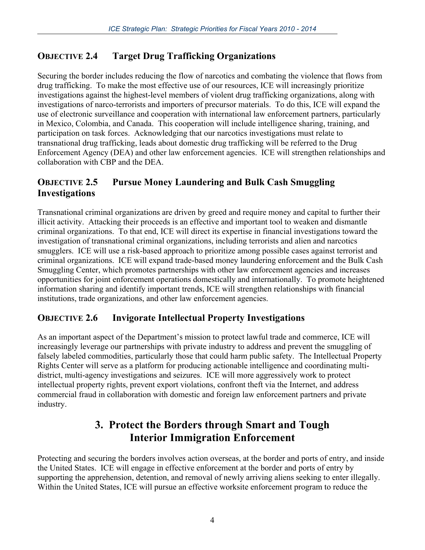## **OBJECTIVE 2.4 Target Drug Trafficking Organizations**

Securing the border includes reducing the flow of narcotics and combating the violence that flows from drug trafficking. To make the most effective use of our resources, ICE will increasingly prioritize investigations against the highest-level members of violent drug trafficking organizations, along with investigations of narco-terrorists and importers of precursor materials. To do this, ICE will expand the use of electronic surveillance and cooperation with international law enforcement partners, particularly in Mexico, Colombia, and Canada. This cooperation will include intelligence sharing, training, and participation on task forces. Acknowledging that our narcotics investigations must relate to transnational drug trafficking, leads about domestic drug trafficking will be referred to the Drug Enforcement Agency (DEA) and other law enforcement agencies. ICE will strengthen relationships and collaboration with CBP and the DEA.

#### **OBJECTIVE 2.5 Pursue Money Laundering and Bulk Cash Smuggling Investigations**

Transnational criminal organizations are driven by greed and require money and capital to further their illicit activity. Attacking their proceeds is an effective and important tool to weaken and dismantle criminal organizations. To that end, ICE will direct its expertise in financial investigations toward the investigation of transnational criminal organizations, including terrorists and alien and narcotics smugglers. ICE will use a risk-based approach to prioritize among possible cases against terrorist and criminal organizations. ICE will expand trade-based money laundering enforcement and the Bulk Cash Smuggling Center, which promotes partnerships with other law enforcement agencies and increases opportunities for joint enforcement operations domestically and internationally. To promote heightened information sharing and identify important trends, ICE will strengthen relationships with financial institutions, trade organizations, and other law enforcement agencies.

#### **OBJECTIVE 2.6 Invigorate Intellectual Property Investigations**

As an important aspect of the Department's mission to protect lawful trade and commerce, ICE will increasingly leverage our partnerships with private industry to address and prevent the smuggling of falsely labeled commodities, particularly those that could harm public safety. The Intellectual Property Rights Center will serve as a platform for producing actionable intelligence and coordinating multidistrict, multi-agency investigations and seizures. ICE will more aggressively work to protect intellectual property rights, prevent export violations, confront theft via the Internet, and address commercial fraud in collaboration with domestic and foreign law enforcement partners and private industry.

## **3. Protect the Borders through Smart and Tough Interior Immigration Enforcement**

Protecting and securing the borders involves action overseas, at the border and ports of entry, and inside the United States. ICE will engage in effective enforcement at the border and ports of entry by supporting the apprehension, detention, and removal of newly arriving aliens seeking to enter illegally. Within the United States, ICE will pursue an effective worksite enforcement program to reduce the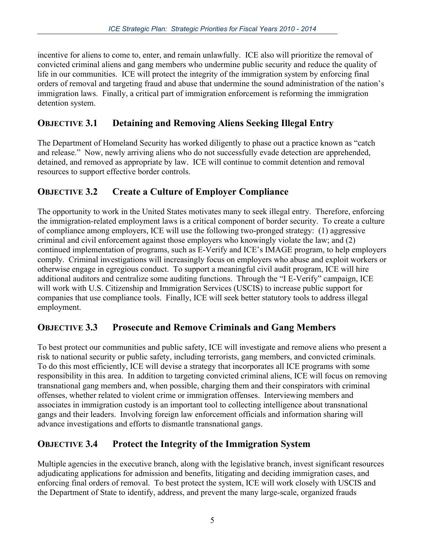incentive for aliens to come to, enter, and remain unlawfully. ICE also will prioritize the removal of convicted criminal aliens and gang members who undermine public security and reduce the quality of life in our communities. ICE will protect the integrity of the immigration system by enforcing final orders of removal and targeting fraud and abuse that undermine the sound administration of the nation's immigration laws. Finally, a critical part of immigration enforcement is reforming the immigration detention system.

#### **OBJECTIVE 3.1 Detaining and Removing Aliens Seeking Illegal Entry**

The Department of Homeland Security has worked diligently to phase out a practice known as "catch and release." Now, newly arriving aliens who do not successfully evade detection are apprehended, detained, and removed as appropriate by law. ICE will continue to commit detention and removal resources to support effective border controls.

#### **OBJECTIVE 3.2 Create a Culture of Employer Compliance**

The opportunity to work in the United States motivates many to seek illegal entry. Therefore, enforcing the immigration-related employment laws is a critical component of border security. To create a culture of compliance among employers, ICE will use the following two-pronged strategy: (1) aggressive criminal and civil enforcement against those employers who knowingly violate the law; and (2) continued implementation of programs, such as E-Verify and ICE's IMAGE program, to help employers comply. Criminal investigations will increasingly focus on employers who abuse and exploit workers or otherwise engage in egregious conduct. To support a meaningful civil audit program, ICE will hire additional auditors and centralize some auditing functions. Through the "I E-Verify" campaign, ICE will work with U.S. Citizenship and Immigration Services (USCIS) to increase public support for companies that use compliance tools. Finally, ICE will seek better statutory tools to address illegal employment.

#### **OBJECTIVE 3.3 Prosecute and Remove Criminals and Gang Members**

To best protect our communities and public safety, ICE will investigate and remove aliens who present a risk to national security or public safety, including terrorists, gang members, and convicted criminals. To do this most efficiently, ICE will devise a strategy that incorporates all ICE programs with some responsibility in this area. In addition to targeting convicted criminal aliens, ICE will focus on removing transnational gang members and, when possible, charging them and their conspirators with criminal offenses, whether related to violent crime or immigration offenses. Interviewing members and associates in immigration custody is an important tool to collecting intelligence about transnational gangs and their leaders. Involving foreign law enforcement officials and information sharing will advance investigations and efforts to dismantle transnational gangs.

### **OBJECTIVE 3.4 Protect the Integrity of the Immigration System**

Multiple agencies in the executive branch, along with the legislative branch, invest significant resources adjudicating applications for admission and benefits, litigating and deciding immigration cases, and enforcing final orders of removal. To best protect the system, ICE will work closely with USCIS and the Department of State to identify, address, and prevent the many large-scale, organized frauds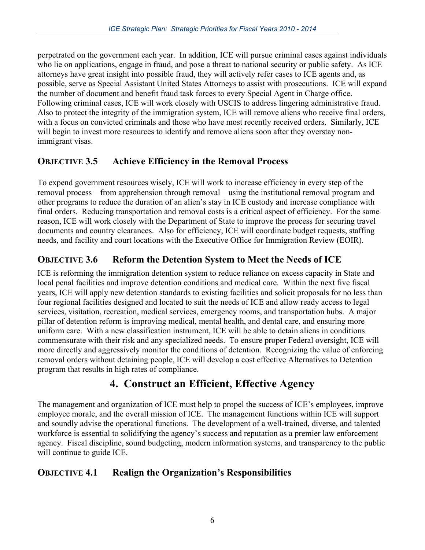perpetrated on the government each year. In addition, ICE will pursue criminal cases against individuals who lie on applications, engage in fraud, and pose a threat to national security or public safety. As ICE attorneys have great insight into possible fraud, they will actively refer cases to ICE agents and, as possible, serve as Special Assistant United States Attorneys to assist with prosecutions. ICE will expand the number of document and benefit fraud task forces to every Special Agent in Charge office. Following criminal cases, ICE will work closely with USCIS to address lingering administrative fraud. Also to protect the integrity of the immigration system, ICE will remove aliens who receive final orders, with a focus on convicted criminals and those who have most recently received orders. Similarly, ICE will begin to invest more resources to identify and remove aliens soon after they overstay nonimmigrant visas.

#### **OBJECTIVE 3.5 Achieve Efficiency in the Removal Process**

To expend government resources wisely, ICE will work to increase efficiency in every step of the removal process—from apprehension through removal—using the institutional removal program and other programs to reduce the duration of an alien's stay in ICE custody and increase compliance with final orders. Reducing transportation and removal costs is a critical aspect of efficiency. For the same reason, ICE will work closely with the Department of State to improve the process for securing travel documents and country clearances. Also for efficiency, ICE will coordinate budget requests, staffing needs, and facility and court locations with the Executive Office for Immigration Review (EOIR).

### **OBJECTIVE 3.6 Reform the Detention System to Meet the Needs of ICE**

ICE is reforming the immigration detention system to reduce reliance on excess capacity in State and local penal facilities and improve detention conditions and medical care. Within the next five fiscal years, ICE will apply new detention standards to existing facilities and solicit proposals for no less than four regional facilities designed and located to suit the needs of ICE and allow ready access to legal services, visitation, recreation, medical services, emergency rooms, and transportation hubs. A major pillar of detention reform is improving medical, mental health, and dental care, and ensuring more uniform care. With a new classification instrument, ICE will be able to detain aliens in conditions commensurate with their risk and any specialized needs. To ensure proper Federal oversight, ICE will more directly and aggressively monitor the conditions of detention. Recognizing the value of enforcing removal orders without detaining people, ICE will develop a cost effective Alternatives to Detention program that results in high rates of compliance.

## **4. Construct an Efficient, Effective Agency**

The management and organization of ICE must help to propel the success of ICE's employees, improve employee morale, and the overall mission of ICE. The management functions within ICE will support and soundly advise the operational functions. The development of a well-trained, diverse, and talented workforce is essential to solidifying the agency's success and reputation as a premier law enforcement agency. Fiscal discipline, sound budgeting, modern information systems, and transparency to the public will continue to guide ICE.

#### **OBJECTIVE 4.1 Realign the Organization's Responsibilities**